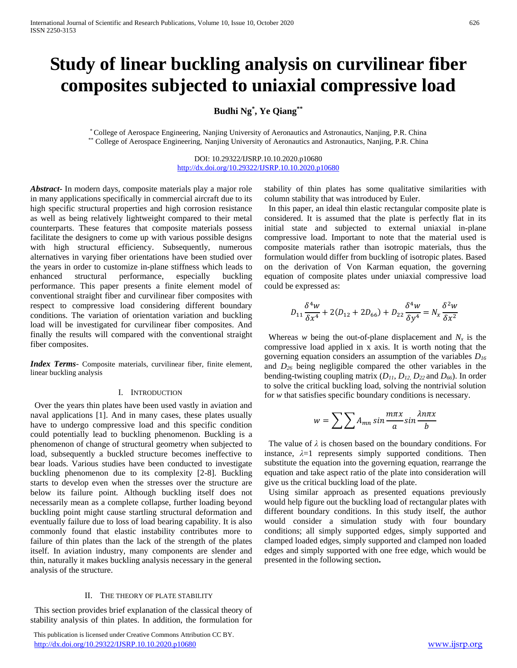# **Study of linear buckling analysis on curvilinear fiber composites subjected to uniaxial compressive load**

# **Budhi Ng\* , Ye Qiang\*\***

\* College of Aerospace Engineering, Nanjing University of Aeronautics and Astronautics, Nanjing, P.R. China \*\* College of Aerospace Engineering, Nanjing University of Aeronautics and Astronautics, Nanjing, P.R. China

> DOI: 10.29322/IJSRP.10.10.2020.p10680 <http://dx.doi.org/10.29322/IJSRP.10.10.2020.p10680>

*Abstract***-** In modern days, composite materials play a major role in many applications specifically in commercial aircraft due to its high specific structural properties and high corrosion resistance as well as being relatively lightweight compared to their metal counterparts. These features that composite materials possess facilitate the designers to come up with various possible designs with high structural efficiency. Subsequently, numerous alternatives in varying fiber orientations have been studied over the years in order to customize in-plane stiffness which leads to enhanced structural performance, especially buckling performance. This paper presents a finite element model of conventional straight fiber and curvilinear fiber composites with respect to compressive load considering different boundary conditions. The variation of orientation variation and buckling load will be investigated for curvilinear fiber composites. And finally the results will compared with the conventional straight fiber composites.

*Index Terms*- Composite materials, curvilinear fiber, finite element, linear buckling analysis

# I. INTRODUCTION

 Over the years thin plates have been used vastly in aviation and naval applications [1]. And in many cases, these plates usually have to undergo compressive load and this specific condition could potentially lead to buckling phenomenon. Buckling is a phenomenon of change of structural geometry when subjected to load, subsequently a buckled structure becomes ineffective to bear loads. Various studies have been conducted to investigate buckling phenomenon due to its complexity [2-8]. Buckling starts to develop even when the stresses over the structure are below its failure point. Although buckling itself does not necessarily mean as a complete collapse, further loading beyond buckling point might cause startling structural deformation and eventually failure due to loss of load bearing capability. It is also commonly found that elastic instability contributes more to failure of thin plates than the lack of the strength of the plates itself. In aviation industry, many components are slender and thin, naturally it makes buckling analysis necessary in the general analysis of the structure.

# II. THE THEORY OF PLATE STABILITY

 This section provides brief explanation of the classical theory of stability analysis of thin plates. In addition, the formulation for

 This publication is licensed under Creative Commons Attribution CC BY. <http://dx.doi.org/10.29322/IJSRP.10.10.2020.p10680> [www.ijsrp.org](http://ijsrp.org/)

stability of thin plates has some qualitative similarities with column stability that was introduced by Euler.

 In this paper, an ideal thin elastic rectangular composite plate is considered. It is assumed that the plate is perfectly flat in its initial state and subjected to external uniaxial in-plane compressive load. Important to note that the material used is composite materials rather than isotropic materials, thus the formulation would differ from buckling of isotropic plates. Based on the derivation of Von Karman equation, the governing equation of composite plates under uniaxial compressive load could be expressed as:

$$
D_{11} \frac{\delta^4 w}{\delta x^4} + 2(D_{12} + 2D_{66}) + D_{22} \frac{\delta^4 w}{\delta y^4} = N_x \frac{\delta^2 w}{\delta x^2}
$$

Whereas *w* being the out-of-plane displacement and  $N_x$  is the compressive load applied in x axis. It is worth noting that the governing equation considers an assumption of the variables *D<sup>16</sup>* and *D<sup>26</sup>* being negligible compared the other variables in the bending-twisting coupling matrix (*D11*, *D12*, *D<sup>22</sup>* and *D66*). In order to solve the critical buckling load, solving the nontrivial solution for *w* that satisfies specific boundary conditions is necessary.

$$
w = \sum \sum A_{mn} \sin \frac{m\pi x}{a} \sin \frac{\lambda n \pi x}{b}
$$

The value of  $\lambda$  is chosen based on the boundary conditions. For instance,  $\lambda = 1$  represents simply supported conditions. Then substitute the equation into the governing equation, rearrange the equation and take aspect ratio of the plate into consideration will give us the critical buckling load of the plate.

 Using similar approach as presented equations previously would help figure out the buckling load of rectangular plates with different boundary conditions. In this study itself, the author would consider a simulation study with four boundary conditions; all simply supported edges, simply supported and clamped loaded edges, simply supported and clamped non loaded edges and simply supported with one free edge, which would be presented in the following section**.**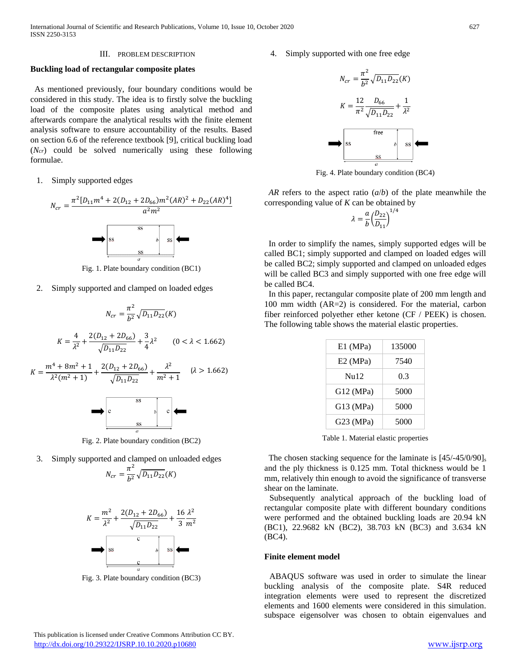#### III. PROBLEM DESCRIPTION

# **Buckling load of rectangular composite plates**

 As mentioned previously, four boundary conditions would be considered in this study. The idea is to firstly solve the buckling load of the composite plates using analytical method and afterwards compare the analytical results with the finite element analysis software to ensure accountability of the results. Based on section 6.6 of the reference textbook [9], critical buckling load (*Ncr*) could be solved numerically using these following formulae.

1. Simply supported edges



Fig. 1. Plate boundary condition (BC1)

2. Simply supported and clamped on loaded edges

$$
N_{cr} = \frac{\pi^2}{b^2} \sqrt{D_{11} D_{22}}(K)
$$

$$
K = \frac{4}{\lambda^2} + \frac{2(D_{12} + 2D_{66})}{\sqrt{D_{11} D_{22}}} + \frac{3}{4} \lambda^2 \qquad (0 < \lambda < 1.662)
$$

$$
K = \frac{m^4 + 8m^2 + 1}{\lambda^2 (m^2 + 1)} + \frac{2(D_{12} + 2D_{66})}{\sqrt{D_{11} D_{22}}} + \frac{\lambda^2}{m^2 + 1} \qquad (\lambda > 1.662)
$$

Fig. 2. Plate boundary condition (BC2)

3. Simply supported and clamped on unloaded edges

$$
N_{cr} = \frac{\pi^2}{b^2} \sqrt{D_{11} D_{22}}(K)
$$



Fig. 3. Plate boundary condition (BC3)

4. Simply supported with one free edge



Fig. 4. Plate boundary condition (BC4)

 *AR* refers to the aspect ratio (*a*/*b*) of the plate meanwhile the corresponding value of *K* can be obtained by

$$
\lambda = \frac{a}{b} \left(\frac{D_{22}}{D_{11}}\right)^{1/4}
$$

 In order to simplify the names, simply supported edges will be called BC1; simply supported and clamped on loaded edges will be called BC2; simply supported and clamped on unloaded edges will be called BC3 and simply supported with one free edge will be called BC4.

 In this paper, rectangular composite plate of 200 mm length and 100 mm width (AR=2) is considered. For the material, carbon fiber reinforced polyether ether ketone (CF / PEEK) is chosen. The following table shows the material elastic properties.

| $E1$ (MPa)  | 135000 |
|-------------|--------|
| $E2$ (MPa)  | 7540   |
| Nu12        | 0.3    |
| $G12$ (MPa) | 5000   |
| G13 (MPa)   | 5000   |
| G23 (MPa)   | 5000   |

Table 1. Material elastic properties

The chosen stacking sequence for the laminate is  $[45/-45/0/90]_s$ and the ply thickness is 0.125 mm. Total thickness would be 1 mm, relatively thin enough to avoid the significance of transverse shear on the laminate.

 Subsequently analytical approach of the buckling load of rectangular composite plate with different boundary conditions were performed and the obtained buckling loads are 20.94 kN (BC1), 22.9682 kN (BC2), 38.703 kN (BC3) and 3.634 kN (BC4).

### **Finite element model**

ABAQUS software was used in order to simulate the linear buckling analysis of the composite plate. S4R reduced integration elements were used to represent the discretized elements and 1600 elements were considered in this simulation. subspace eigensolver was chosen to obtain eigenvalues and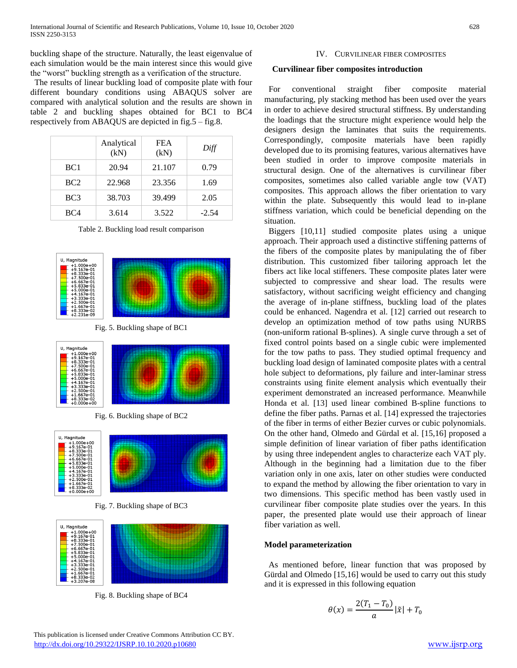buckling shape of the structure. Naturally, the least eigenvalue of each simulation would be the main interest since this would give the "worst" buckling strength as a verification of the structure.

 The results of linear buckling load of composite plate with four different boundary conditions using ABAQUS solver are compared with analytical solution and the results are shown in table 2 and buckling shapes obtained for BC1 to BC4 respectively from ABAQUS are depicted in fig.5 – fig.8.

|                 | Analytical<br>(kN) | <b>FEA</b><br>(kN) | Diff    |
|-----------------|--------------------|--------------------|---------|
| BC <sub>1</sub> | 20.94              | 21.107             | 0.79    |
| BC <sub>2</sub> | 22.968             | 23.356             | 1.69    |
| BC <sub>3</sub> | 38.703             | 39.499             | 2.05    |
| BC4             | 3.614              | 3.522              | $-2.54$ |

Table 2. Buckling load result comparison



Fig. 8. Buckling shape of BC4

# IV. CURVILINEAR FIBER COMPOSITES

# **Curvilinear fiber composites introduction**

 For conventional straight fiber composite material manufacturing, ply stacking method has been used over the years in order to achieve desired structural stiffness. By understanding the loadings that the structure might experience would help the designers design the laminates that suits the requirements. Correspondingly, composite materials have been rapidly developed due to its promising features, various alternatives have been studied in order to improve composite materials in structural design. One of the alternatives is curvilinear fiber composites, sometimes also called variable angle tow (VAT) composites. This approach allows the fiber orientation to vary within the plate. Subsequently this would lead to in-plane stiffness variation, which could be beneficial depending on the situation.

 Biggers [10,11] studied composite plates using a unique approach. Their approach used a distinctive stiffening patterns of the fibers of the composite plates by manipulating the of fiber distribution. This customized fiber tailoring approach let the fibers act like local stiffeners. These composite plates later were subjected to compressive and shear load. The results were satisfactory, without sacrificing weight efficiency and changing the average of in-plane stiffness, buckling load of the plates could be enhanced. Nagendra et al. [12] carried out research to develop an optimization method of tow paths using NURBS (non-uniform rational B-splines). A single curve through a set of fixed control points based on a single cubic were implemented for the tow paths to pass. They studied optimal frequency and buckling load design of laminated composite plates with a central hole subject to deformations, ply failure and inter-laminar stress constraints using finite element analysis which eventually their experiment demonstrated an increased performance. Meanwhile Honda et al. [13] used linear combined B-spline functions to define the fiber paths. Parnas et al. [14] expressed the trajectories of the fiber in terms of either Bezier curves or cubic polynomials. On the other hand, Olmedo and Gürdal et al. [15,16] proposed a simple definition of linear variation of fiber paths identification by using three independent angles to characterize each VAT ply. Although in the beginning had a limitation due to the fiber variation only in one axis, later on other studies were conducted to expand the method by allowing the fiber orientation to vary in two dimensions. This specific method has been vastly used in curvilinear fiber composite plate studies over the years. In this paper, the presented plate would use their approach of linear fiber variation as well.

# **Model parameterization**

 As mentioned before, linear function that was proposed by Gürdal and Olmedo [15,16] would be used to carry out this study and it is expressed in this following equation

$$
\theta(x) = \frac{2(T_1 - T_0)}{a} |\tilde{x}| + T_0
$$

 This publication is licensed under Creative Commons Attribution CC BY. <http://dx.doi.org/10.29322/IJSRP.10.10.2020.p10680> [www.ijsrp.org](http://ijsrp.org/)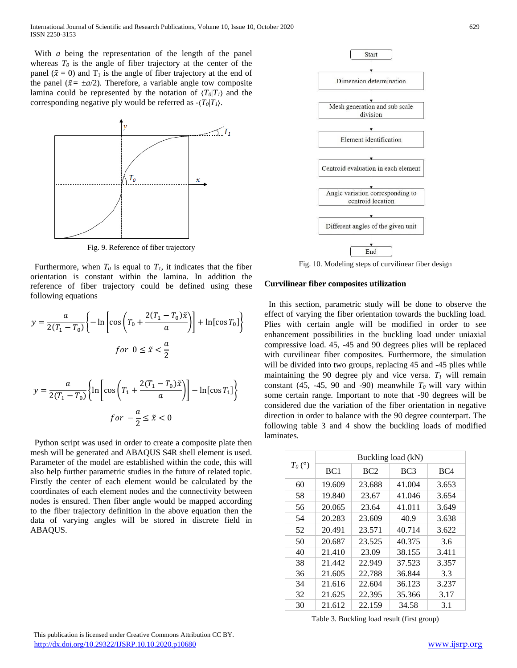With *a* being the representation of the length of the panel whereas  $T_0$  is the angle of fiber trajectory at the center of the panel ( $\tilde{x} = 0$ ) and T<sub>1</sub> is the angle of fiber trajectory at the end of the panel ( $\tilde{x} = \pm a/2$ ). Therefore, a variable angle tow composite lamina could be represented by the notation of  $\langle T_0|T_1\rangle$  and the corresponding negative ply would be referred as  $-(T_0|T_1)$ .



Fig. 9. Reference of fiber trajectory

Furthermore, when  $T_0$  is equal to  $T_1$ , it indicates that the fiber orientation is constant within the lamina. In addition the reference of fiber trajectory could be defined using these following equations

$$
y = \frac{a}{2(T_1 - T_0)} \left\{-\ln \left[ \cos \left(T_0 + \frac{2(T_1 - T_0)\tilde{x}}{a} \right) \right] + \ln[\cos T_0] \right\}
$$
  
for  $0 \le \tilde{x} < \frac{a}{2}$ 

$$
y = \frac{a}{2(T_1 - T_0)} \left\{ \ln \left[ \cos \left( T_1 + \frac{2(T_1 - T_0)\tilde{x}}{a} \right) \right] - \ln[\cos T_1] \right\}
$$
  

$$
for -\frac{a}{2} \le \tilde{x} < 0
$$

 Python script was used in order to create a composite plate then mesh will be generated and ABAQUS S4R shell element is used. Parameter of the model are established within the code, this will also help further parametric studies in the future of related topic. Firstly the center of each element would be calculated by the coordinates of each element nodes and the connectivity between nodes is ensured. Then fiber angle would be mapped according to the fiber trajectory definition in the above equation then the data of varying angles will be stored in discrete field in ABAQUS.



Fig. 10. Modeling steps of curvilinear fiber design

# **Curvilinear fiber composites utilization**

 In this section, parametric study will be done to observe the effect of varying the fiber orientation towards the buckling load. Plies with certain angle will be modified in order to see enhancement possibilities in the buckling load under uniaxial compressive load. 45, -45 and 90 degrees plies will be replaced with curvilinear fiber composites. Furthermore, the simulation will be divided into two groups, replacing 45 and  $-45$  plies while maintaining the 90 degree ply and vice versa.  $T_I$  will remain constant (45, -45, 90 and -90) meanwhile  $T_0$  will vary within some certain range. Important to note that -90 degrees will be considered due the variation of the fiber orientation in negative direction in order to balance with the 90 degree counterpart. The following table 3 and 4 show the buckling loads of modified laminates.

|           | Buckling load (kN) |        |                 |                 |
|-----------|--------------------|--------|-----------------|-----------------|
| $T_0$ (°) | BC <sub>1</sub>    | BC2    | BC <sub>3</sub> | BC <sub>4</sub> |
| 60        | 19.609             | 23.688 | 41.004          | 3.653           |
| 58        | 19.840             | 23.67  | 41.046          | 3.654           |
| 56        | 20.065             | 23.64  | 41.011          | 3.649           |
| 54        | 20.283             | 23.609 | 40.9            | 3.638           |
| 52        | 20.491             | 23.571 | 40.714          | 3.622           |
| 50        | 20.687             | 23.525 | 40.375          | 3.6             |
| 40        | 21.410             | 23.09  | 38.155          | 3.411           |
| 38        | 21.442             | 22.949 | 37.523          | 3.357           |
| 36        | 21.605             | 22.788 | 36.844          | 3.3             |
| 34        | 21.616             | 22.604 | 36.123          | 3.237           |
| 32        | 21.625             | 22.395 | 35.366          | 3.17            |
| 30        | 21.612             | 22.159 | 34.58           | 3.1             |

Table 3. Buckling load result (first group)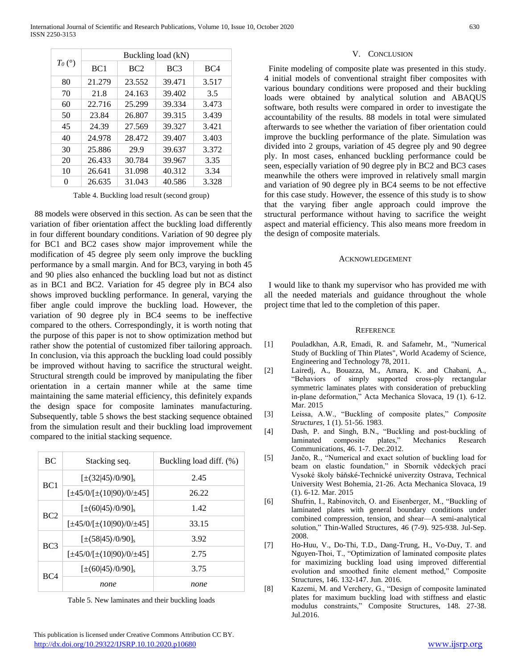| $T_0$ (°) | Buckling load (kN) |                 |        |       |
|-----------|--------------------|-----------------|--------|-------|
|           | BC <sub>1</sub>    | BC <sub>2</sub> | BC3    | BC4   |
| 80        | 21.279             | 23.552          | 39.471 | 3.517 |
| 70        | 21.8               | 24.163          | 39.402 | 3.5   |
| 60        | 22.716             | 25.299          | 39.334 | 3.473 |
| 50        | 23.84              | 26.807          | 39.315 | 3.439 |
| 45        | 24.39              | 27.569          | 39.327 | 3.421 |
| 40        | 24.978             | 28.472          | 39.407 | 3.403 |
| 30        | 25.886             | 29.9            | 39.637 | 3.372 |
| 20        | 26.433             | 30.784          | 39.967 | 3.35  |
| 10        | 26.641             | 31.098          | 40.312 | 3.34  |
| 0         | 26.635             | 31.043          | 40.586 | 3.328 |

Table 4. Buckling load result (second group)

 88 models were observed in this section. As can be seen that the variation of fiber orientation affect the buckling load differently in four different boundary conditions. Variation of 90 degree ply for BC1 and BC2 cases show major improvement while the modification of 45 degree ply seem only improve the buckling performance by a small margin. And for BC3, varying in both 45 and 90 plies also enhanced the buckling load but not as distinct as in BC1 and BC2. Variation for 45 degree ply in BC4 also shows improved buckling performance. In general, varying the fiber angle could improve the buckling load. However, the variation of 90 degree ply in BC4 seems to be ineffective compared to the others. Correspondingly, it is worth noting that the purpose of this paper is not to show optimization method but rather show the potential of customized fiber tailoring approach. In conclusion, via this approach the buckling load could possibly be improved without having to sacrifice the structural weight. Structural strength could be improved by manipulating the fiber orientation in a certain manner while at the same time maintaining the same material efficiency, this definitely expands the design space for composite laminates manufacturing. Subsequently, table 5 shows the best stacking sequence obtained from the simulation result and their buckling load improvement compared to the initial stacking sequence.

| BC              | Stacking seq.                       | Buckling load diff. (%) |
|-----------------|-------------------------------------|-------------------------|
| BC <sub>1</sub> | $[\pm(32 45)/0/90]$ <sub>s</sub>    | 2.45                    |
|                 | $[\pm 45/0/[\pm (10)90]/0/ \pm 45]$ | 26.22                   |
|                 | $[\pm(60 45)/0/90]$ <sub>s</sub>    | 1.42                    |
| BC2             | $[\pm 45/0/[\pm (10]90)/0/ \pm 45]$ | 33.15                   |
| BC <sub>3</sub> | $[\pm(58 45)/0/90]$                 | 3.92                    |
|                 | $[\pm 45/0/[\pm (10]90)/0/ \pm 45]$ | 2.75                    |
| BC <sub>4</sub> | $[\pm(60 45)/0/90]$ <sub>s</sub>    | 3.75                    |
|                 | none                                | none                    |

Table 5. New laminates and their buckling loads

 This publication is licensed under Creative Commons Attribution CC BY. <http://dx.doi.org/10.29322/IJSRP.10.10.2020.p10680> [www.ijsrp.org](http://ijsrp.org/)

# V. CONCLUSION

 Finite modeling of composite plate was presented in this study. 4 initial models of conventional straight fiber composites with various boundary conditions were proposed and their buckling loads were obtained by analytical solution and ABAQUS software, both results were compared in order to investigate the accountability of the results. 88 models in total were simulated afterwards to see whether the variation of fiber orientation could improve the buckling performance of the plate. Simulation was divided into 2 groups, variation of 45 degree ply and 90 degree ply. In most cases, enhanced buckling performance could be seen, especially variation of 90 degree ply in BC2 and BC3 cases meanwhile the others were improved in relatively small margin and variation of 90 degree ply in BC4 seems to be not effective for this case study. However, the essence of this study is to show that the varying fiber angle approach could improve the structural performance without having to sacrifice the weight aspect and material efficiency. This also means more freedom in the design of composite materials.

#### ACKNOWLEDGEMENT

 I would like to thank my supervisor who has provided me with all the needed materials and guidance throughout the whole project time that led to the completion of this paper.

#### **REFERENCE**

- [1] Pouladkhan, A.R, Emadi, R. and Safamehr, M., "Numerical Study of Buckling of Thin Plates", World Academy of Science, Engineering and Technology 78, 2011.
- [2] Lairedj, A., Bouazza, M., Amara, K. and Chabani, A., "Behaviors of simply supported cross-ply rectangular symmetric laminates plates with consideration of prebuckling in-plane deformation," Acta Mechanica Slovaca, 19 (1). 6-12. Mar. 2015
- [3] Leissa, A.W., "Buckling of composite plates," *Composite Structures*, 1 (1). 51-56. 1983.
- [4] Dash, P. and Singh, B.N., "Buckling and post-buckling of laminated composite plates," Mechanics Research Communications, 46. 1-7. Dec.2012.
- [5] Jančo, R., "Numerical and exact solution of buckling load for beam on elastic foundation," in Sborník vědeckých prací Vysoké školy báňské-Technické univerzity Ostrava, Technical University West Bohemia, 21-26. Acta Mechanica Slovaca, 19 (1). 6-12. Mar. 2015
- [6] Shufrin, I., Rabinovitch, O. and Eisenberger, M., "Buckling of laminated plates with general boundary conditions under combined compression, tension, and shear—A semi-analytical solution," Thin-Walled Structures, 46 (7-9). 925-938. Jul-Sep. 2008.
- [7] Ho-Huu, V., Do-Thi, T.D., Dang-Trung, H., Vo-Duy, T. and Nguyen-Thoi, T., "Optimization of laminated composite plates for maximizing buckling load using improved differential evolution and smoothed finite element method," Composite Structures, 146. 132-147. Jun. 2016.
- [8] Kazemi, M. and Verchery, G., "Design of composite laminated plates for maximum buckling load with stiffness and elastic modulus constraints," Composite Structures, 148. 27-38. Jul.2016.